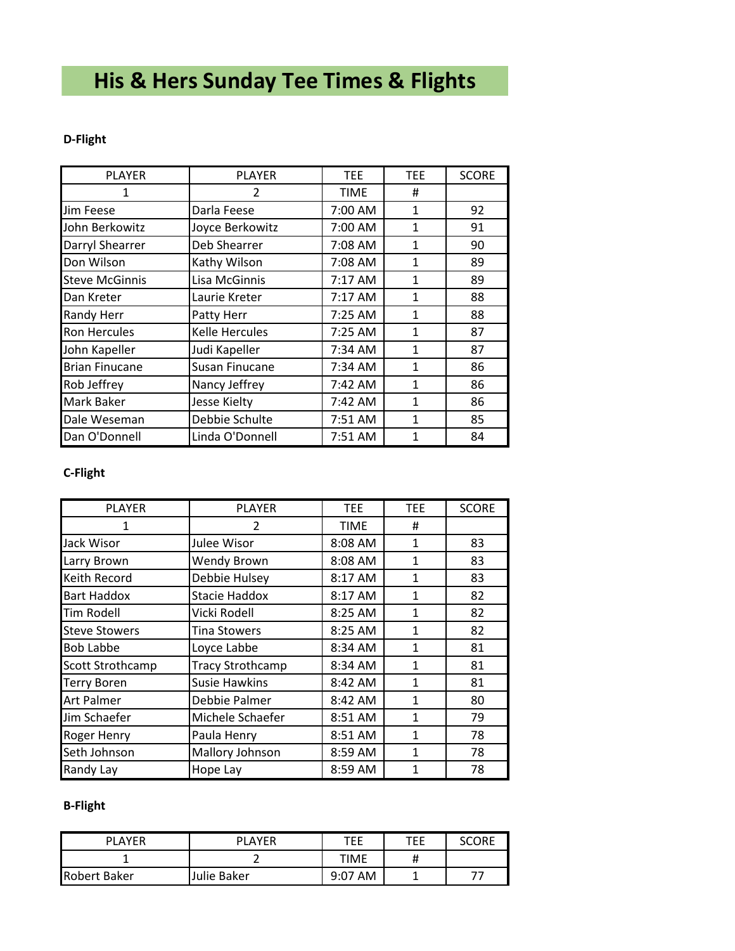# **His & Hers Sunday Tee Times & Flights**

#### **D-Flight**

| <b>PLAYER</b>         | <b>PLAYER</b>         | <b>TEE</b>        | <b>TEE</b>   | <b>SCORE</b> |
|-----------------------|-----------------------|-------------------|--------------|--------------|
|                       | 2                     | TIME              | #            |              |
| <b>Jim Feese</b>      | Darla Feese           | 7:00 AM           | 1            | 92           |
| John Berkowitz        | Joyce Berkowitz       | 7:00 AM           | 1            | 91           |
| Darryl Shearrer       | Deb Shearrer          | 7:08 AM           | 1            | 90           |
| Don Wilson            | Kathy Wilson          | 7:08 AM           | 1            | 89           |
| <b>Steve McGinnis</b> | Lisa McGinnis         | $7:17$ AM         | 1            | 89           |
| Dan Kreter            | Laurie Kreter         | 7:17 AM           | $\mathbf{1}$ | 88           |
| <b>Randy Herr</b>     | Patty Herr            | 7:25 AM           | 1            | 88           |
| <b>Ron Hercules</b>   | <b>Kelle Hercules</b> | 7:25 AM           | 1            | 87           |
| John Kapeller         | Judi Kapeller         | 7:34 AM           | 1            | 87           |
| <b>Brian Finucane</b> | Susan Finucane        | 7:34 AM           | 1            | 86           |
| Rob Jeffrey           | Nancy Jeffrey         | $7:42 \text{ AM}$ | 1            | 86           |
| <b>Mark Baker</b>     | Jesse Kielty          | 7:42 AM           | 1            | 86           |
| Dale Weseman          | Debbie Schulte        | 7:51 AM           | 1            | 85           |
| Dan O'Donnell         | Linda O'Donnell       | 7:51 AM           | 1            | 84           |

# **C-Flight**

| <b>PLAYER</b>        | <b>PLAYER</b>           | TEE     | TEE.         | <b>SCORE</b> |
|----------------------|-------------------------|---------|--------------|--------------|
|                      | $\mathcal{P}$           | TIME    | #            |              |
| Jack Wisor           | Julee Wisor             | 8:08 AM | $\mathbf{1}$ | 83           |
| Larry Brown          | Wendy Brown             | 8:08 AM | 1            | 83           |
| Keith Record         | Debbie Hulsey           | 8:17 AM | 1            | 83           |
| Bart Haddox          | <b>Stacie Haddox</b>    | 8:17 AM | $\mathbf{1}$ | 82           |
| <b>Tim Rodell</b>    | Vicki Rodell            | 8:25 AM | $\mathbf{1}$ | 82           |
| <b>Steve Stowers</b> | <b>Tina Stowers</b>     | 8:25 AM | $\mathbf{1}$ | 82           |
| <b>Bob Labbe</b>     | Loyce Labbe             | 8:34 AM | $\mathbf{1}$ | 81           |
| Scott Strothcamp     | <b>Tracy Strothcamp</b> | 8:34 AM | $\mathbf{1}$ | 81           |
| <b>Terry Boren</b>   | <b>Susie Hawkins</b>    | 8:42 AM | 1            | 81           |
| Art Palmer           | Debbie Palmer           | 8:42 AM | 1            | 80           |
| Jim Schaefer         | Michele Schaefer        | 8:51 AM | 1            | 79           |
| Roger Henry          | Paula Henry             | 8:51 AM | $\mathbf{1}$ | 78           |
| Seth Johnson         | Mallory Johnson         | 8:59 AM | 1            | 78           |
| Randy Lay            | Hope Lay                | 8:59 AM | 1            | 78           |

# **B-Flight**

| <b>PLAYER</b>       | <b>PLAYER</b> | TEE        | TEE | SCORE |
|---------------------|---------------|------------|-----|-------|
|                     |               | TIME       |     |       |
| <b>Robert Baker</b> | Julie Baker   | AM<br>9:07 |     |       |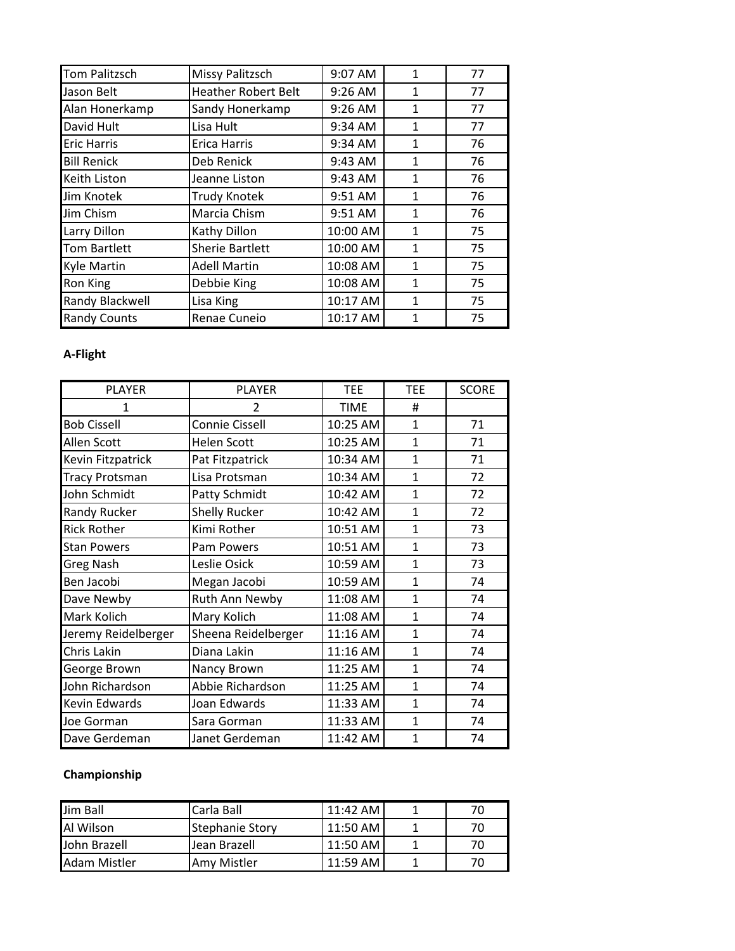| <b>Tom Palitzsch</b> | <b>Missy Palitzsch</b>     | 9:07 AM   | $\mathbf{1}$ | 77 |
|----------------------|----------------------------|-----------|--------------|----|
| Jason Belt           | <b>Heather Robert Belt</b> | 9:26 AM   | 1            | 77 |
| Alan Honerkamp       | Sandy Honerkamp            | 9:26 AM   | 1            | 77 |
| David Hult           | Lisa Hult                  | $9:34$ AM | $\mathbf{1}$ | 77 |
| <b>Eric Harris</b>   | <b>Erica Harris</b>        | 9:34 AM   | $\mathbf{1}$ | 76 |
| <b>Bill Renick</b>   | Deb Renick                 | 9:43 AM   | 1            | 76 |
| <b>Keith Liston</b>  | Jeanne Liston              | 9:43 AM   | $\mathbf{1}$ | 76 |
| Jim Knotek           | <b>Trudy Knotek</b>        | 9:51 AM   | $\mathbf{1}$ | 76 |
| Jim Chism            | Marcia Chism               | 9:51 AM   | $\mathbf{1}$ | 76 |
| Larry Dillon         | Kathy Dillon               | 10:00 AM  | $\mathbf{1}$ | 75 |
| <b>Tom Bartlett</b>  | <b>Sherie Bartlett</b>     | 10:00 AM  | $\mathbf{1}$ | 75 |
| <b>Kyle Martin</b>   | <b>Adell Martin</b>        | 10:08 AM  | $\mathbf{1}$ | 75 |
| <b>Ron King</b>      | Debbie King                | 10:08 AM  | $\mathbf{1}$ | 75 |
| Randy Blackwell      | Lisa King                  | 10:17 AM  | 1            | 75 |
| <b>Randy Counts</b>  | Renae Cuneio               | 10:17 AM  | $\mathbf{1}$ | 75 |

# **A-Flight**

| <b>PLAYER</b>         | <b>PLAYER</b>        | <b>TEE</b>  | <b>TEE</b>     | <b>SCORE</b> |
|-----------------------|----------------------|-------------|----------------|--------------|
|                       | 2                    | <b>TIME</b> | #              |              |
| <b>Bob Cissell</b>    | Connie Cissell       | 10:25 AM    | $\mathbf{1}$   | 71           |
| Allen Scott           | <b>Helen Scott</b>   | 10:25 AM    | $\mathbf{1}$   | 71           |
| Kevin Fitzpatrick     | Pat Fitzpatrick      | 10:34 AM    | $\mathbf{1}$   | 71           |
| <b>Tracy Protsman</b> | Lisa Protsman        | 10:34 AM    | $\mathbf{1}$   | 72           |
| John Schmidt          | Patty Schmidt        | 10:42 AM    | $\mathbf{1}$   | 72           |
| Randy Rucker          | <b>Shelly Rucker</b> | 10:42 AM    | $\mathbf{1}$   | 72           |
| <b>Rick Rother</b>    | Kimi Rother          | 10:51 AM    | $\mathbf{1}$   | 73           |
| <b>Stan Powers</b>    | Pam Powers           | 10:51 AM    | $\mathbf{1}$   | 73           |
| <b>Greg Nash</b>      | Leslie Osick         | 10:59 AM    | $\mathbf{1}$   | 73           |
| Ben Jacobi            | Megan Jacobi         | 10:59 AM    | $\mathbf{1}$   | 74           |
| Dave Newby            | Ruth Ann Newby       | 11:08 AM    | $\mathbf{1}$   | 74           |
| Mark Kolich           | Mary Kolich          | 11:08 AM    | $\mathbf{1}$   | 74           |
| Jeremy Reidelberger   | Sheena Reidelberger  | 11:16 AM    | $\mathbf{1}$   | 74           |
| Chris Lakin           | Diana Lakin          | 11:16 AM    | $\mathbf{1}$   | 74           |
| George Brown          | Nancy Brown          | 11:25 AM    | $\mathbf{1}$   | 74           |
| John Richardson       | Abbie Richardson     | 11:25 AM    | $\mathbf{1}$   | 74           |
| <b>Kevin Edwards</b>  | Joan Edwards         | 11:33 AM    | $\overline{1}$ | 74           |
| Joe Gorman            | Sara Gorman          | 11:33 AM    | $\mathbf{1}$   | 74           |
| Dave Gerdeman         | Janet Gerdeman       | 11:42 AM    | 1              | 74           |

# **Championship**

| Jim Ball            | Carla Ball             | $11:42 \, \text{AM}$ |    |
|---------------------|------------------------|----------------------|----|
| Al Wilson           | <b>Stephanie Story</b> | 11:50 AM             |    |
| John Brazell        | <b>Jean Brazell</b>    | $11:50$ AM           | 70 |
| <b>Adam Mistler</b> | Amv Mistler            | 11:59 AM             |    |